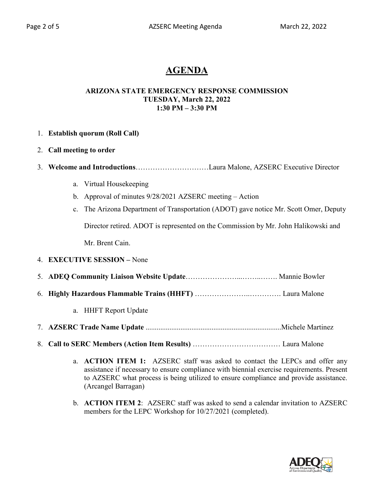# **AGENDA**

#### **ARIZONA STATE EMERGENCY RESPONSE COMMISSION TUESDAY, March 22, 2022 1:30 PM – 3:30 PM**

|  | 1. Establish quorum (Roll Call) |
|--|---------------------------------|
|  |                                 |

- 2. **Call meeting to order**
- 3. **Welcome and Introductions**…………………………Laura Malone, AZSERC Executive Director
	- a. Virtual Housekeeping
	- b. Approval of minutes 9/28/2021 AZSERC meeting Action
	- c. The Arizona Department of Transportation (ADOT) gave notice Mr. Scott Omer, Deputy Director retired. ADOT is represented on the Commission by Mr. John Halikowski and Mr. Brent Cain.

### 4. **EXECUTIVE SESSION –** None

- 5. **ADEQ Community Liaison Website Update**…………………...……..……. Mannie Bowler
- 6. **Highly Hazardous Flammable Trains (HHFT)** …………………..…………. Laura Malone
	- a. HHFT Report Update
- 7. **AZSERC Trade Name Update** ..........................................................................Michele Martinez
- 8. **Call to SERC Members (Action Item Results)** ……………………………… Laura Malone
	- a. **ACTION ITEM 1:** AZSERC staff was asked to contact the LEPCs and offer any assistance if necessary to ensure compliance with biennial exercise requirements. Present to AZSERC what process is being utilized to ensure compliance and provide assistance. (Arcangel Barragan)
	- b. **ACTION ITEM 2**: AZSERC staff was asked to send a calendar invitation to AZSERC members for the LEPC Workshop for 10/27/2021 (completed).

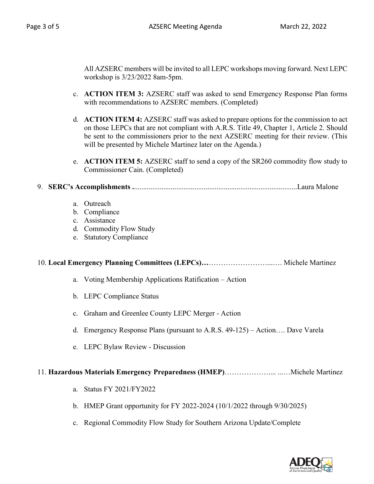All AZSERC members will be invited to all LEPC workshops moving forward. Next LEPC workshop is 3/23/2022 8am-5pm.

- c. **ACTION ITEM 3:** AZSERC staff was asked to send Emergency Response Plan forms with recommendations to AZSERC members. (Completed)
- d. **ACTION ITEM 4:** AZSERC staff was asked to prepare options for the commission to act on those LEPCs that are not compliant with A.R.S. Title 49, Chapter 1, Article 2. Should be sent to the commissioners prior to the next AZSERC meeting for their review. (This will be presented by Michele Martinez later on the Agenda.)
- e. **ACTION ITEM 5:** AZSERC staff to send a copy of the SR260 commodity flow study to Commissioner Cain. (Completed)

## 9. **SERC's Accomplishments .**.........................................................................................Laura Malone

| a. | Outreach |  |
|----|----------|--|
|    |          |  |

- b. Compliance
- c. Assistance
- d. Commodity Flow Study
- e. Statutory Compliance

### 10. **Local Emergency Planning Committees (LEPCs)…**……………………...…. Michele Martinez

- a. Voting Membership Applications Ratification Action
- b. LEPC Compliance Status
- c. Graham and Greenlee County LEPC Merger Action
- d. Emergency Response Plans (pursuant to A.R.S. 49-125) Action…. Dave Varela
- e. LEPC Bylaw Review Discussion

#### 11. **Hazardous Materials Emergency Preparedness (HMEP)**……………….... ...…Michele Martinez

- a. Status FY 2021/FY2022
- b. HMEP Grant opportunity for FY 2022-2024 (10/1/2022 through 9/30/2025)
- c. Regional Commodity Flow Study for Southern Arizona Update/Complete

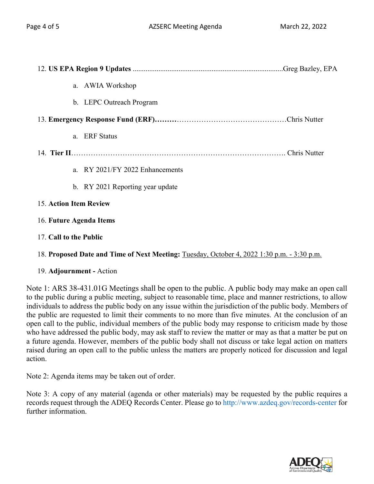| a. AWIA Workshop                 |  |  |  |
|----------------------------------|--|--|--|
| b. LEPC Outreach Program         |  |  |  |
|                                  |  |  |  |
| a. ERF Status                    |  |  |  |
|                                  |  |  |  |
| a. RY 2021/FY 2022 Enhancements  |  |  |  |
| b. RY 2021 Reporting year update |  |  |  |
| <b>15. Action Item Review</b>    |  |  |  |
| 16. Future Agenda Items          |  |  |  |
| 17. Call to the Public           |  |  |  |

18. **Proposed Date and Time of Next Meeting:** Tuesday, October 4, 2022 1:30 p.m. - 3:30 p.m.

## 19. **Adjournment -** Action

Note 1: ARS 38-431.01G Meetings shall be open to the public. A public body may make an open call to the public during a public meeting, subject to reasonable time, place and manner restrictions, to allow individuals to address the public body on any issue within the jurisdiction of the public body. Members of the public are requested to limit their comments to no more than five minutes. At the conclusion of an open call to the public, individual members of the public body may response to criticism made by those who have addressed the public body, may ask staff to review the matter or may as that a matter be put on a future agenda. However, members of the public body shall not discuss or take legal action on matters raised during an open call to the public unless the matters are properly noticed for discussion and legal action.

Note 2: Agenda items may be taken out of order.

Note 3: A copy of any material (agenda or other materials) may be requested by the public requires a records request through the ADEQ Records Center. Please go to http://www.azdeq.gov/records-center for further information.